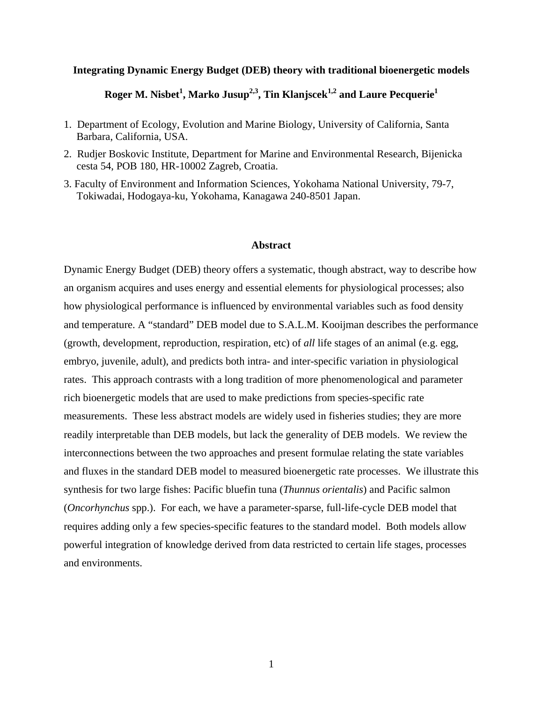## **Integrating Dynamic Energy Budget (DEB) theory with traditional bioenergetic models**

 $\textbf{Roger M. Nisbet}^1, \textbf{Marko Jusup}^{2,3}, \textbf{ Tin Klanjscek}^{1,2} \textbf{ and Laure Pecquerie}^1$ 

- 1. Department of Ecology, Evolution and Marine Biology, University of California, Santa Barbara, California, USA.
- 2. Rudjer Boskovic Institute, Department for Marine and Environmental Research, Bijenicka cesta 54, POB 180, HR-10002 Zagreb, Croatia.
- 3. Faculty of Environment and Information Sciences, Yokohama National University, 79-7, Tokiwadai, Hodogaya-ku, Yokohama, Kanagawa 240-8501 Japan.

#### **Abstract**

Dynamic Energy Budget (DEB) theory offers a systematic, though abstract, way to describe how an organism acquires and uses energy and essential elements for physiological processes; also how physiological performance is influenced by environmental variables such as food density and temperature. A "standard" DEB model due to S.A.L.M. Kooijman describes the performance (growth, development, reproduction, respiration, etc) of *all* life stages of an animal (e.g. egg, embryo, juvenile, adult), and predicts both intra- and inter-specific variation in physiological rates. This approach contrasts with a long tradition of more phenomenological and parameter rich bioenergetic models that are used to make predictions from species-specific rate measurements. These less abstract models are widely used in fisheries studies; they are more readily interpretable than DEB models, but lack the generality of DEB models. We review the interconnections between the two approaches and present formulae relating the state variables and fluxes in the standard DEB model to measured bioenergetic rate processes. We illustrate this synthesis for two large fishes: Pacific bluefin tuna (*Thunnus orientalis*) and Pacific salmon (*Oncorhynchus* spp.). For each, we have a parameter-sparse, full-life-cycle DEB model that requires adding only a few species-specific features to the standard model. Both models allow powerful integration of knowledge derived from data restricted to certain life stages, processes and environments.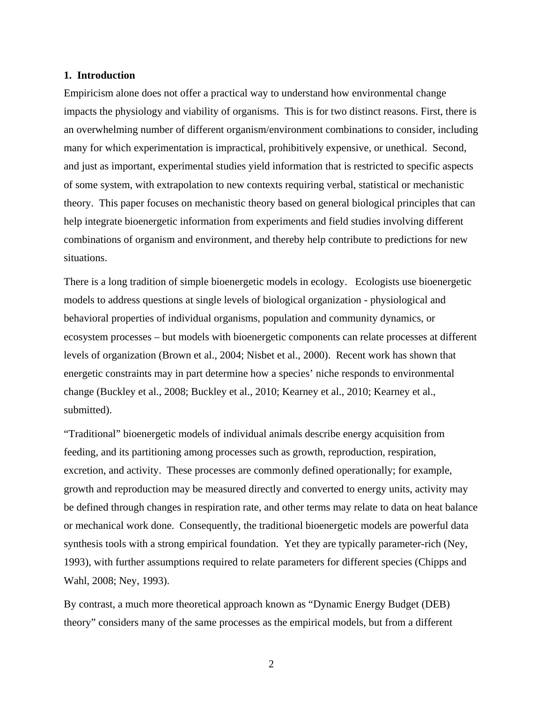## **1. Introduction**

Empiricism alone does not offer a practical way to understand how environmental change impacts the physiology and viability of organisms. This is for two distinct reasons. First, there is an overwhelming number of different organism/environment combinations to consider, including many for which experimentation is impractical, prohibitively expensive, or unethical. Second, and just as important, experimental studies yield information that is restricted to specific aspects of some system, with extrapolation to new contexts requiring verbal, statistical or mechanistic theory. This paper focuses on mechanistic theory based on general biological principles that can help integrate bioenergetic information from experiments and field studies involving different combinations of organism and environment, and thereby help contribute to predictions for new situations.

There is a long tradition of simple bioenergetic models in ecology. Ecologists use bioenergetic models to address questions at single levels of biological organization - physiological and behavioral properties of individual organisms, population and community dynamics, or ecosystem processes – but models with bioenergetic components can relate processes at different levels of organization (Brown et al., 2004; Nisbet et al., 2000). Recent work has shown that energetic constraints may in part determine how a species' niche responds to environmental change (Buckley et al., 2008; Buckley et al., 2010; Kearney et al., 2010; Kearney et al., submitted).

"Traditional" bioenergetic models of individual animals describe energy acquisition from feeding, and its partitioning among processes such as growth, reproduction, respiration, excretion, and activity. These processes are commonly defined operationally; for example, growth and reproduction may be measured directly and converted to energy units, activity may be defined through changes in respiration rate, and other terms may relate to data on heat balance or mechanical work done. Consequently, the traditional bioenergetic models are powerful data synthesis tools with a strong empirical foundation. Yet they are typically parameter-rich (Ney, 1993), with further assumptions required to relate parameters for different species (Chipps and Wahl, 2008; Ney, 1993).

By contrast, a much more theoretical approach known as "Dynamic Energy Budget (DEB) theory" considers many of the same processes as the empirical models, but from a different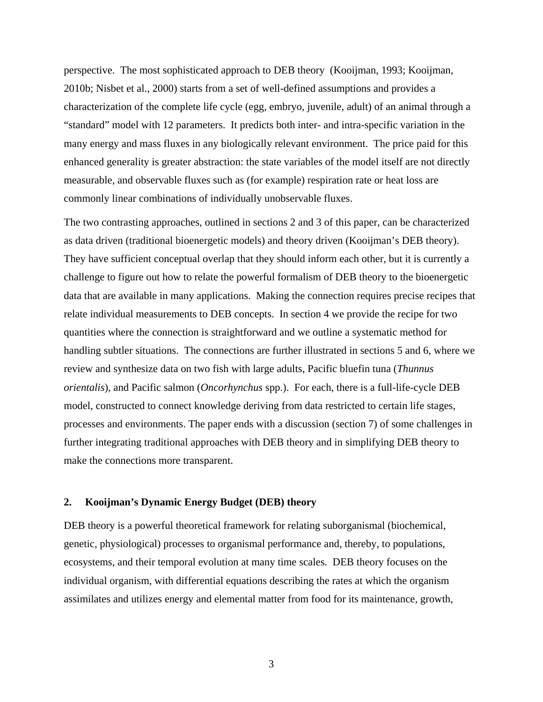perspective. The most sophisticated approach to DEB theory (Kooijman, 1993; Kooijman, 2010b; Nisbet et al., 2000) starts from a set of well-defined assumptions and provides a characterization of the complete life cycle (egg, embryo, juvenile, adult) of an animal through a "standard" model with 12 parameters. It predicts both inter- and intra-specific variation in the many energy and mass fluxes in any biologically relevant environment. The price paid for this enhanced generality is greater abstraction: the state variables of the model itself are not directly measurable, and observable fluxes such as (for example) respiration rate or heat loss are commonly linear combinations of individually unobservable fluxes.

The two contrasting approaches, outlined in sections 2 and 3 of this paper, can be characterized as data driven (traditional bioenergetic models) and theory driven (Kooijman's DEB theory). They have sufficient conceptual overlap that they should inform each other, but it is currently a challenge to figure out how to relate the powerful formalism of DEB theory to the bioenergetic data that are available in many applications. Making the connection requires precise recipes that relate individual measurements to DEB concepts. In section 4 we provide the recipe for two quantities where the connection is straightforward and we outline a systematic method for handling subtler situations. The connections are further illustrated in sections 5 and 6, where we review and synthesize data on two fish with large adults, Pacific bluefin tuna (*Thunnus orientalis*), and Pacific salmon (*Oncorhynchus* spp.). For each, there is a full-life-cycle DEB model, constructed to connect knowledge deriving from data restricted to certain life stages, processes and environments. The paper ends with a discussion (section 7) of some challenges in further integrating traditional approaches with DEB theory and in simplifying DEB theory to make the connections more transparent.

# **2. Kooijman's Dynamic Energy Budget (DEB) theory**

DEB theory is a powerful theoretical framework for relating suborganismal (biochemical, genetic, physiological) processes to organismal performance and, thereby, to populations, ecosystems, and their temporal evolution at many time scales. DEB theory focuses on the individual organism, with differential equations describing the rates at which the organism assimilates and utilizes energy and elemental matter from food for its maintenance, growth,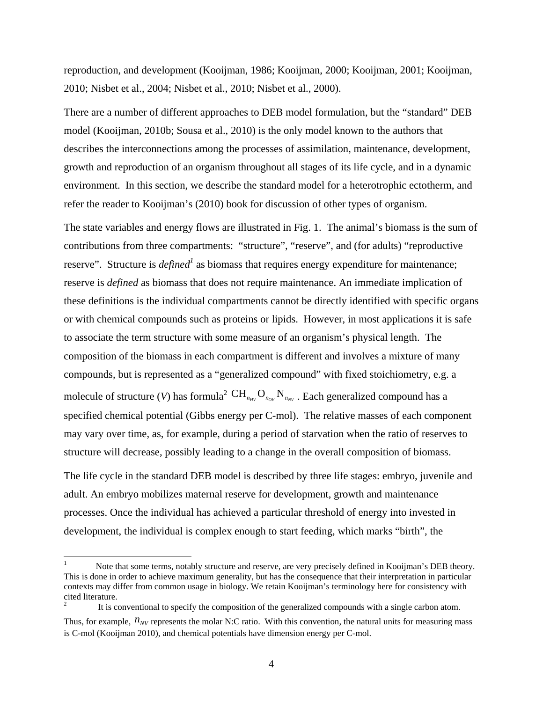reproduction, and development (Kooijman, 1986; Kooijman, 2000; Kooijman, 2001; Kooijman, 2010; Nisbet et al., 2004; Nisbet et al., 2010; Nisbet et al., 2000).

There are a number of different approaches to DEB model formulation, but the "standard" DEB model (Kooijman, 2010b; Sousa et al., 2010) is the only model known to the authors that describes the interconnections among the processes of assimilation, maintenance, development, growth and reproduction of an organism throughout all stages of its life cycle, and in a dynamic environment. In this section, we describe the standard model for a heterotrophic ectotherm, and refer the reader to Kooijman's (2010) book for discussion of other types of organism.

The state variables and energy flows are illustrated in Fig. 1. The animal's biomass is the sum of contributions from three compartments: "structure", "reserve", and (for adults) "reproductive reserve". Structure is *defined* as biomass that requires energy expenditure for maintenance; reserve is *defined* as biomass that does not require maintenance. An immediate implication of these definitions is the individual compartments cannot be directly identified with specific organs or with chemical compounds such as proteins or lipids. However, in most applications it is safe to associate the term structure with some measure of an organism's physical length. The composition of the biomass in each compartment is different and involves a mixture of many compounds, but is represented as a "generalized compound" with fixed stoichiometry, e.g. a molecule of structure (*V*) has formula<sup>2</sup>  $\text{CH}_{n_{HV}}\text{O}_{n_{OV}}\text{N}_{n_{NV}}$ . Each generalized compound has a specified chemical potential (Gibbs energy per C-mol). The relative masses of each component may vary over time, as, for example, during a period of starvation when the ratio of reserves to structure will decrease, possibly leading to a change in the overall composition of biomass.

The life cycle in the standard DEB model is described by three life stages: embryo, juvenile and adult. An embryo mobilizes maternal reserve for development, growth and maintenance processes. Once the individual has achieved a particular threshold of energy into invested in development, the individual is complex enough to start feeding, which marks "birth", the

 $\overline{a}$ 

2 It is conventional to specify the composition of the generalized compounds with a single carbon atom.

<sup>1</sup> Note that some terms, notably structure and reserve, are very precisely defined in Kooijman's DEB theory. This is done in order to achieve maximum generality, but has the consequence that their interpretation in particular contexts may differ from common usage in biology. We retain Kooijman's terminology here for consistency with cited literature.

Thus, for example,  $n_{\text{NV}}$  represents the molar N:C ratio. With this convention, the natural units for measuring mass is C-mol (Kooijman 2010), and chemical potentials have dimension energy per C-mol.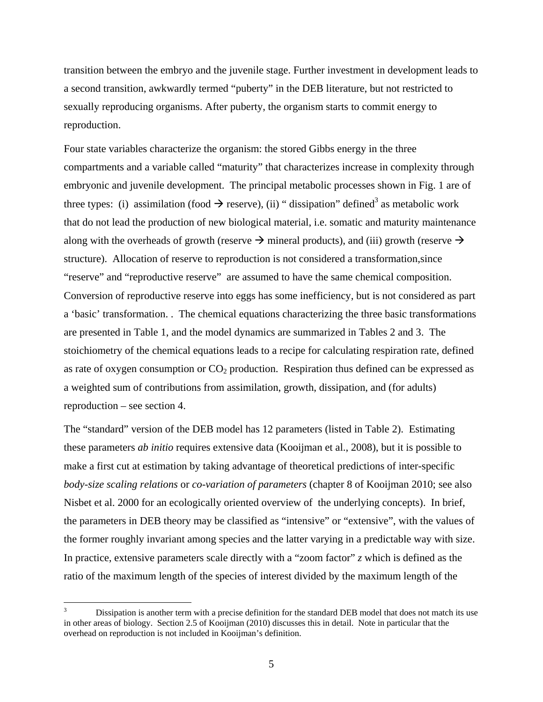transition between the embryo and the juvenile stage. Further investment in development leads to a second transition, awkwardly termed "puberty" in the DEB literature, but not restricted to sexually reproducing organisms. After puberty, the organism starts to commit energy to reproduction.

Four state variables characterize the organism: the stored Gibbs energy in the three compartments and a variable called "maturity" that characterizes increase in complexity through embryonic and juvenile development. The principal metabolic processes shown in Fig. 1 are of three types: (i) assimilation (food  $\rightarrow$  reserve), (ii) "dissipation" defined<sup>3</sup> as metabolic work that do not lead the production of new biological material, i.e. somatic and maturity maintenance along with the overheads of growth (reserve  $\rightarrow$  mineral products), and (iii) growth (reserve  $\rightarrow$ structure). Allocation of reserve to reproduction is not considered a transformation,since "reserve" and "reproductive reserve" are assumed to have the same chemical composition. Conversion of reproductive reserve into eggs has some inefficiency, but is not considered as part a 'basic' transformation. . The chemical equations characterizing the three basic transformations are presented in Table 1, and the model dynamics are summarized in Tables 2 and 3. The stoichiometry of the chemical equations leads to a recipe for calculating respiration rate, defined as rate of oxygen consumption or  $CO<sub>2</sub>$  production. Respiration thus defined can be expressed as a weighted sum of contributions from assimilation, growth, dissipation, and (for adults) reproduction – see section 4.

The "standard" version of the DEB model has 12 parameters (listed in Table 2). Estimating these parameters *ab initio* requires extensive data (Kooijman et al., 2008), but it is possible to make a first cut at estimation by taking advantage of theoretical predictions of inter-specific *body-size scaling relations* or *co-variation of parameters* (chapter 8 of Kooijman 2010; see also Nisbet et al. 2000 for an ecologically oriented overview of the underlying concepts). In brief, the parameters in DEB theory may be classified as "intensive" or "extensive", with the values of the former roughly invariant among species and the latter varying in a predictable way with size. In practice, extensive parameters scale directly with a "zoom factor" *z* which is defined as the ratio of the maximum length of the species of interest divided by the maximum length of the

 $\overline{a}$ 

<sup>3</sup> Dissipation is another term with a precise definition for the standard DEB model that does not match its use in other areas of biology. Section 2.5 of Kooijman (2010) discusses this in detail. Note in particular that the overhead on reproduction is not included in Kooijman's definition.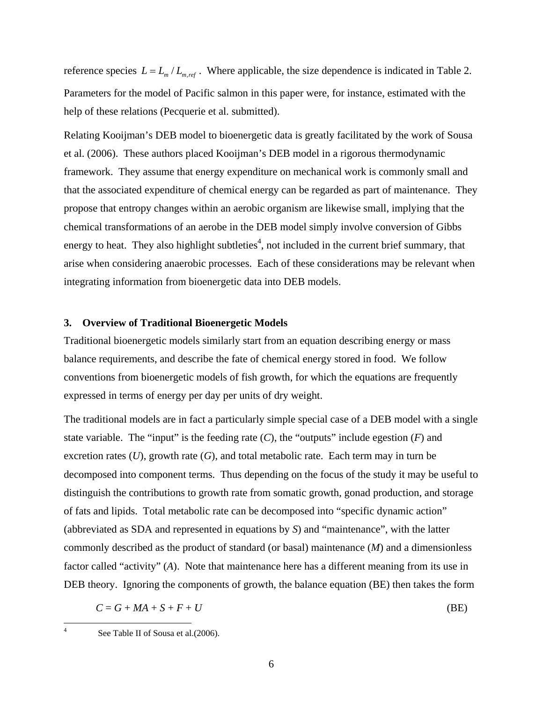reference species  $L = L_m / L_{m,ref}$ . Where applicable, the size dependence is indicated in Table 2. Parameters for the model of Pacific salmon in this paper were, for instance, estimated with the help of these relations (Pecquerie et al. submitted).

Relating Kooijman's DEB model to bioenergetic data is greatly facilitated by the work of Sousa et al. (2006). These authors placed Kooijman's DEB model in a rigorous thermodynamic framework. They assume that energy expenditure on mechanical work is commonly small and that the associated expenditure of chemical energy can be regarded as part of maintenance. They propose that entropy changes within an aerobic organism are likewise small, implying that the chemical transformations of an aerobe in the DEB model simply involve conversion of Gibbs energy to heat. They also highlight subtleties<sup>4</sup>, not included in the current brief summary, that arise when considering anaerobic processes. Each of these considerations may be relevant when integrating information from bioenergetic data into DEB models.

## **3. Overview of Traditional Bioenergetic Models**

Traditional bioenergetic models similarly start from an equation describing energy or mass balance requirements, and describe the fate of chemical energy stored in food. We follow conventions from bioenergetic models of fish growth, for which the equations are frequently expressed in terms of energy per day per units of dry weight.

The traditional models are in fact a particularly simple special case of a DEB model with a single state variable. The "input" is the feeding rate  $(C)$ , the "outputs" include egestion  $(F)$  and excretion rates  $(U)$ , growth rate  $(G)$ , and total metabolic rate. Each term may in turn be decomposed into component terms. Thus depending on the focus of the study it may be useful to distinguish the contributions to growth rate from somatic growth, gonad production, and storage of fats and lipids. Total metabolic rate can be decomposed into "specific dynamic action" (abbreviated as SDA and represented in equations by *S*) and "maintenance", with the latter commonly described as the product of standard (or basal) maintenance (*M*) and a dimensionless factor called "activity" (*A*). Note that maintenance here has a different meaning from its use in DEB theory. Ignoring the components of growth, the balance equation (BE) then takes the form

$$
C = G + MA + S + F + U \tag{BE}
$$

 $\frac{1}{4}$ 

See Table II of Sousa et al.(2006).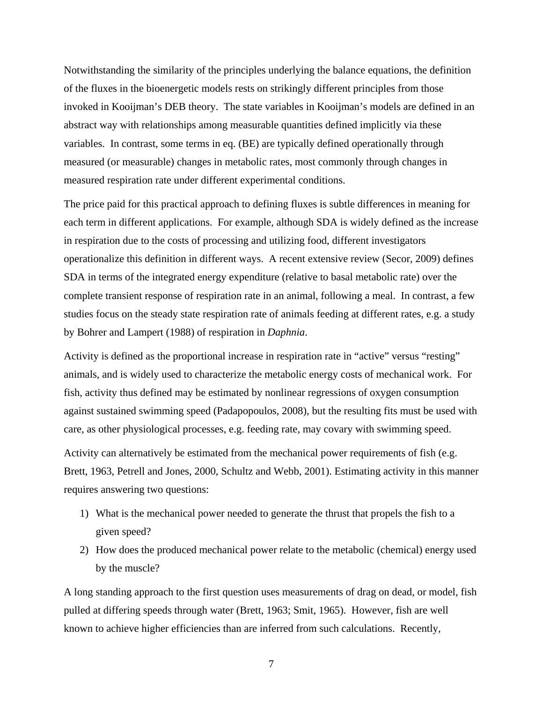Notwithstanding the similarity of the principles underlying the balance equations, the definition of the fluxes in the bioenergetic models rests on strikingly different principles from those invoked in Kooijman's DEB theory. The state variables in Kooijman's models are defined in an abstract way with relationships among measurable quantities defined implicitly via these variables. In contrast, some terms in eq. (BE) are typically defined operationally through measured (or measurable) changes in metabolic rates, most commonly through changes in measured respiration rate under different experimental conditions.

The price paid for this practical approach to defining fluxes is subtle differences in meaning for each term in different applications. For example, although SDA is widely defined as the increase in respiration due to the costs of processing and utilizing food, different investigators operationalize this definition in different ways. A recent extensive review (Secor, 2009) defines SDA in terms of the integrated energy expenditure (relative to basal metabolic rate) over the complete transient response of respiration rate in an animal, following a meal. In contrast, a few studies focus on the steady state respiration rate of animals feeding at different rates, e.g. a study by Bohrer and Lampert (1988) of respiration in *Daphnia*.

Activity is defined as the proportional increase in respiration rate in "active" versus "resting" animals, and is widely used to characterize the metabolic energy costs of mechanical work. For fish, activity thus defined may be estimated by nonlinear regressions of oxygen consumption against sustained swimming speed (Padapopoulos, 2008), but the resulting fits must be used with care, as other physiological processes, e.g. feeding rate, may covary with swimming speed.

Activity can alternatively be estimated from the mechanical power requirements of fish (e.g. Brett, 1963, Petrell and Jones, 2000, Schultz and Webb, 2001). Estimating activity in this manner requires answering two questions:

- 1) What is the mechanical power needed to generate the thrust that propels the fish to a given speed?
- 2) How does the produced mechanical power relate to the metabolic (chemical) energy used by the muscle?

A long standing approach to the first question uses measurements of drag on dead, or model, fish pulled at differing speeds through water (Brett, 1963; Smit, 1965). However, fish are well known to achieve higher efficiencies than are inferred from such calculations. Recently,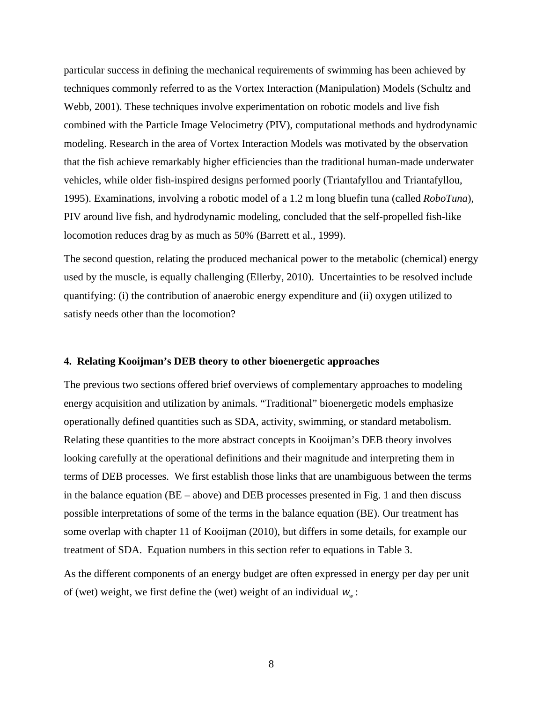particular success in defining the mechanical requirements of swimming has been achieved by techniques commonly referred to as the Vortex Interaction (Manipulation) Models (Schultz and Webb, 2001). These techniques involve experimentation on robotic models and live fish combined with the Particle Image Velocimetry (PIV), computational methods and hydrodynamic modeling. Research in the area of Vortex Interaction Models was motivated by the observation that the fish achieve remarkably higher efficiencies than the traditional human-made underwater vehicles, while older fish-inspired designs performed poorly (Triantafyllou and Triantafyllou, 1995). Examinations, involving a robotic model of a 1.2 m long bluefin tuna (called *RoboTuna*), PIV around live fish, and hydrodynamic modeling, concluded that the self-propelled fish-like locomotion reduces drag by as much as 50% (Barrett et al., 1999).

The second question, relating the produced mechanical power to the metabolic (chemical) energy used by the muscle, is equally challenging (Ellerby, 2010). Uncertainties to be resolved include quantifying: (i) the contribution of anaerobic energy expenditure and (ii) oxygen utilized to satisfy needs other than the locomotion?

#### **4. Relating Kooijman's DEB theory to other bioenergetic approaches**

The previous two sections offered brief overviews of complementary approaches to modeling energy acquisition and utilization by animals. "Traditional" bioenergetic models emphasize operationally defined quantities such as SDA, activity, swimming, or standard metabolism. Relating these quantities to the more abstract concepts in Kooijman's DEB theory involves looking carefully at the operational definitions and their magnitude and interpreting them in terms of DEB processes. We first establish those links that are unambiguous between the terms in the balance equation (BE – above) and DEB processes presented in Fig. 1 and then discuss possible interpretations of some of the terms in the balance equation (BE). Our treatment has some overlap with chapter 11 of Kooijman (2010), but differs in some details, for example our treatment of SDA. Equation numbers in this section refer to equations in Table 3.

As the different components of an energy budget are often expressed in energy per day per unit of (wet) weight, we first define the (wet) weight of an individual  $W_w$ :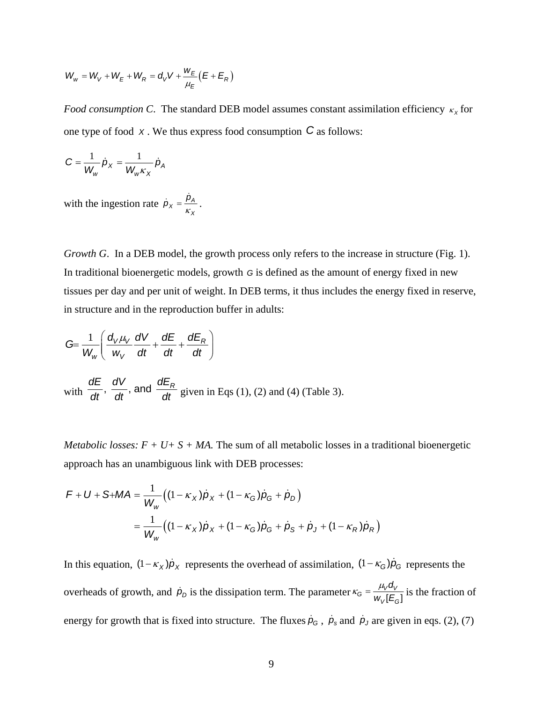$$
W_w = W_V + W_E + W_R = d_V V + \frac{w_E}{\mu_E} (E + E_R)
$$

*Food consumption C*. The standard DEB model assumes constant assimilation efficiency κ<sub>x</sub> for one type of food *<sup>X</sup>* . We thus express food consumption *C* as follows:

$$
C = \frac{1}{W_w} \dot{p}_X = \frac{1}{W_w \kappa_X} \dot{p}_A
$$

with the ingestion rate  $\dot{p}_X = \frac{p_A}{\kappa_X}$  $\dot{p}_X = \frac{\dot{p}_A}{\kappa_X}$ .

*Growth G*. In a DEB model, the growth process only refers to the increase in structure (Fig. 1). In traditional bioenergetic models, growth *G* is defined as the amount of energy fixed in new tissues per day and per unit of weight. In DEB terms, it thus includes the energy fixed in reserve, in structure and in the reproduction buffer in adults:

$$
G = \frac{1}{W_w} \left( \frac{d_V \mu_V}{w_V} \frac{dV}{dt} + \frac{dE}{dt} + \frac{dE_R}{dt} \right)
$$
  
with  $\frac{dE}{dt}$ ,  $\frac{dV}{dt}$ , and  $\frac{dE_R}{dt}$  given in Eqs (1), (2) and (4) (Table 3).

*Metabolic losses:*  $F + U + S + MA$ . The sum of all metabolic losses in a traditional bioenergetic approach has an unambiguous link with DEB processes:

$$
F + U + S + MA = \frac{1}{W_w} \Big( (1 - \kappa_X) \dot{p}_X + (1 - \kappa_G) \dot{p}_G + \dot{p}_D \Big)
$$
  
= 
$$
\frac{1}{W_w} \Big( (1 - \kappa_X) \dot{p}_X + (1 - \kappa_G) \dot{p}_G + \dot{p}_S + \dot{p}_J + (1 - \kappa_R) \dot{p}_R \Big)
$$

In this equation,  $(1 - \kappa_X)\dot{p}_X$  represents the overhead of assimilation,  $(1 - \kappa_G)\dot{p}_G$  represents the overheads of growth, and  $\dot{p}_D$  is the dissipation term. The parameter  $\kappa_G = \frac{\mu_V a_V}{w_V [E_G]}$ *V G d*  $\kappa_G = \frac{\mu_V a_V}{w_V [E_G]}$  is the fraction of energy for growth that is fixed into structure. The fluxes  $\dot{p}_G$ ,  $\dot{p}_s$  and  $\dot{p}_J$  are given in eqs. (2), (7)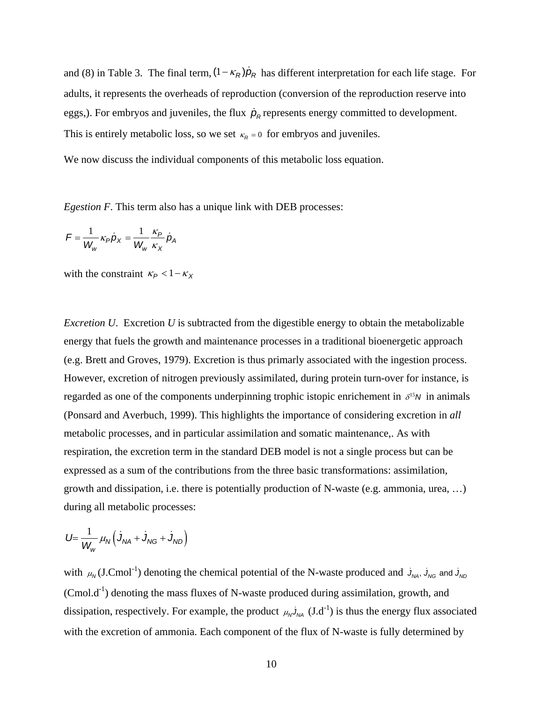and (8) in Table 3. The final term,  $(1 - \kappa_R)\dot{p}_R$  has different interpretation for each life stage. For adults, it represents the overheads of reproduction (conversion of the reproduction reserve into eggs,). For embryos and juveniles, the flux  $\dot{p}_R$  represents energy committed to development. This is entirely metabolic loss, so we set  $\kappa_R = 0$  for embryos and juveniles.

We now discuss the individual components of this metabolic loss equation.

*Egestion F*. This term also has a unique link with DEB processes:

$$
F = \frac{1}{W_w} \kappa_P \dot{p}_X = \frac{1}{W_w} \frac{\kappa_P}{\kappa_X} \dot{p}_A
$$

with the constraint  $\kappa_P < 1 - \kappa_X$ 

*Excretion U*. Excretion *U* is subtracted from the digestible energy to obtain the metabolizable energy that fuels the growth and maintenance processes in a traditional bioenergetic approach (e.g. Brett and Groves, 1979). Excretion is thus primarly associated with the ingestion process. However, excretion of nitrogen previously assimilated, during protein turn-over for instance, is regarded as one of the components underpinning trophic istopic enrichement in  $\delta^{15}N$  in animals (Ponsard and Averbuch, 1999). This highlights the importance of considering excretion in *all* metabolic processes, and in particular assimilation and somatic maintenance,. As with respiration, the excretion term in the standard DEB model is not a single process but can be expressed as a sum of the contributions from the three basic transformations: assimilation, growth and dissipation, i.e. there is potentially production of N-waste (e.g. ammonia, urea, …) during all metabolic processes:

$$
U = \frac{1}{W_w} \mu_N \left( J_{NA} + J_{NG} + J_{ND} \right)
$$

with  $\mu_N$  (J.Cmol<sup>-1</sup>) denoting the chemical potential of the N-waste produced and  $J_{NA}$ ,  $J_{NG}$  and  $J_{ND}$  $(~~Cmol.d<sup>-1</sup>)~~ denoting the mass fluxes of N-waste produced during assimilation, growth, and$ dissipation, respectively. For example, the product  $\mu_N J_{NA}$  (J.d<sup>-1</sup>) is thus the energy flux associated with the excretion of ammonia. Each component of the flux of N-waste is fully determined by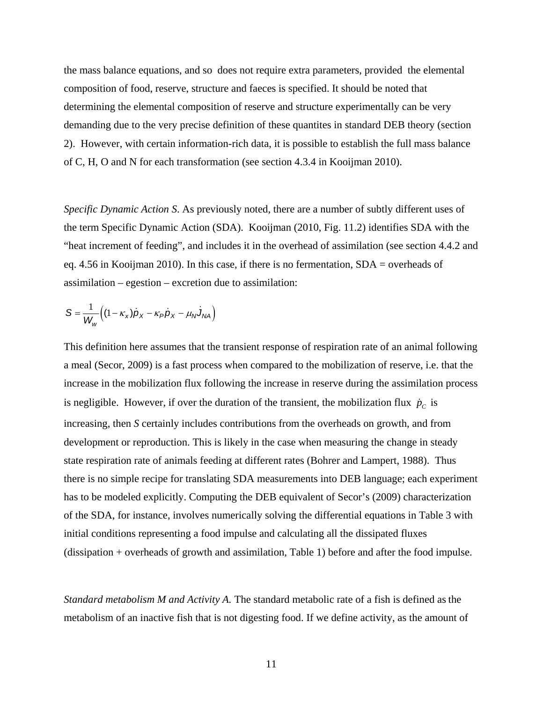the mass balance equations, and so does not require extra parameters, provided the elemental composition of food, reserve, structure and faeces is specified. It should be noted that determining the elemental composition of reserve and structure experimentally can be very demanding due to the very precise definition of these quantites in standard DEB theory (section 2). However, with certain information-rich data, it is possible to establish the full mass balance of C, H, O and N for each transformation (see section 4.3.4 in Kooijman 2010).

*Specific Dynamic Action S*. As previously noted, there are a number of subtly different uses of the term Specific Dynamic Action (SDA). Kooijman (2010, Fig. 11.2) identifies SDA with the "heat increment of feeding", and includes it in the overhead of assimilation (see section 4.4.2 and eq. 4.56 in Kooijman 2010). In this case, if there is no fermentation, SDA = overheads of assimilation – egestion – excretion due to assimilation:

$$
S = \frac{1}{W_w} \Big( (1 - \kappa_x) \dot{p}_x - \kappa_p \dot{p}_x - \mu_N \dot{J}_{NA} \Big)
$$

This definition here assumes that the transient response of respiration rate of an animal following a meal (Secor, 2009) is a fast process when compared to the mobilization of reserve, i.e. that the increase in the mobilization flux following the increase in reserve during the assimilation process is negligible. However, if over the duration of the transient, the mobilization flux  $\dot{p}_c$  is increasing, then *S* certainly includes contributions from the overheads on growth, and from development or reproduction. This is likely in the case when measuring the change in steady state respiration rate of animals feeding at different rates (Bohrer and Lampert, 1988). Thus there is no simple recipe for translating SDA measurements into DEB language; each experiment has to be modeled explicitly. Computing the DEB equivalent of Secor's (2009) characterization of the SDA, for instance, involves numerically solving the differential equations in Table 3 with initial conditions representing a food impulse and calculating all the dissipated fluxes (dissipation + overheads of growth and assimilation, Table 1) before and after the food impulse.

*Standard metabolism M and Activity A.* The standard metabolic rate of a fish is defined as the metabolism of an inactive fish that is not digesting food. If we define activity, as the amount of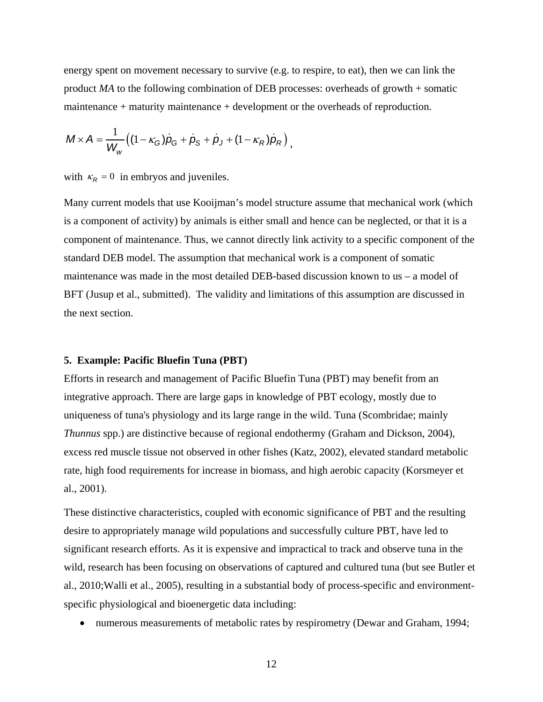energy spent on movement necessary to survive (e.g. to respire, to eat), then we can link the product *MA* to the following combination of DEB processes: overheads of growth + somatic maintenance + maturity maintenance + development or the overheads of reproduction.

$$
M \times A = \frac{1}{W_w} ((1 - \kappa_G) \dot{p}_G + \dot{p}_S + \dot{p}_J + (1 - \kappa_R) \dot{p}_R),
$$

with  $\kappa_R = 0$  in embryos and juveniles.

Many current models that use Kooijman's model structure assume that mechanical work (which is a component of activity) by animals is either small and hence can be neglected, or that it is a component of maintenance. Thus, we cannot directly link activity to a specific component of the standard DEB model. The assumption that mechanical work is a component of somatic maintenance was made in the most detailed DEB-based discussion known to us – a model of BFT (Jusup et al., submitted). The validity and limitations of this assumption are discussed in the next section.

#### **5. Example: Pacific Bluefin Tuna (PBT)**

Efforts in research and management of Pacific Bluefin Tuna (PBT) may benefit from an integrative approach. There are large gaps in knowledge of PBT ecology, mostly due to uniqueness of tuna's physiology and its large range in the wild. Tuna (Scombridae; mainly *Thunnus* spp.) are distinctive because of regional endothermy (Graham and Dickson, 2004), excess red muscle tissue not observed in other fishes (Katz, 2002), elevated standard metabolic rate, high food requirements for increase in biomass, and high aerobic capacity (Korsmeyer et al., 2001).

These distinctive characteristics, coupled with economic significance of PBT and the resulting desire to appropriately manage wild populations and successfully culture PBT, have led to significant research efforts. As it is expensive and impractical to track and observe tuna in the wild, research has been focusing on observations of captured and cultured tuna (but see Butler et al., 2010;Walli et al., 2005), resulting in a substantial body of process-specific and environmentspecific physiological and bioenergetic data including:

• numerous measurements of metabolic rates by respirometry (Dewar and Graham, 1994;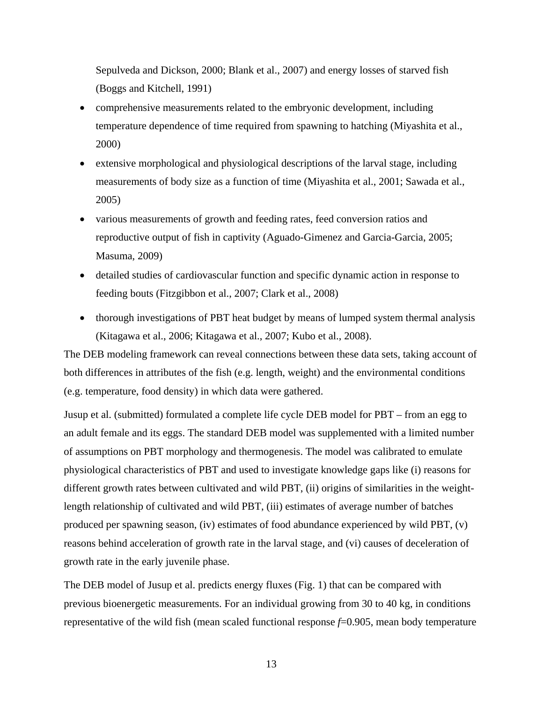Sepulveda and Dickson, 2000; Blank et al., 2007) and energy losses of starved fish (Boggs and Kitchell, 1991)

- comprehensive measurements related to the embryonic development, including temperature dependence of time required from spawning to hatching (Miyashita et al., 2000)
- extensive morphological and physiological descriptions of the larval stage, including measurements of body size as a function of time (Miyashita et al., 2001; Sawada et al., 2005)
- various measurements of growth and feeding rates, feed conversion ratios and reproductive output of fish in captivity (Aguado-Gimenez and Garcia-Garcia, 2005; Masuma, 2009)
- detailed studies of cardiovascular function and specific dynamic action in response to feeding bouts (Fitzgibbon et al., 2007; Clark et al., 2008)
- thorough investigations of PBT heat budget by means of lumped system thermal analysis (Kitagawa et al., 2006; Kitagawa et al., 2007; Kubo et al., 2008).

The DEB modeling framework can reveal connections between these data sets, taking account of both differences in attributes of the fish (e.g. length, weight) and the environmental conditions (e.g. temperature, food density) in which data were gathered.

Jusup et al. (submitted) formulated a complete life cycle DEB model for PBT – from an egg to an adult female and its eggs. The standard DEB model was supplemented with a limited number of assumptions on PBT morphology and thermogenesis. The model was calibrated to emulate physiological characteristics of PBT and used to investigate knowledge gaps like (i) reasons for different growth rates between cultivated and wild PBT, (ii) origins of similarities in the weightlength relationship of cultivated and wild PBT, (iii) estimates of average number of batches produced per spawning season, (iv) estimates of food abundance experienced by wild PBT, (v) reasons behind acceleration of growth rate in the larval stage, and (vi) causes of deceleration of growth rate in the early juvenile phase.

The DEB model of Jusup et al. predicts energy fluxes (Fig. 1) that can be compared with previous bioenergetic measurements. For an individual growing from 30 to 40 kg, in conditions representative of the wild fish (mean scaled functional response  $f=0.905$ , mean body temperature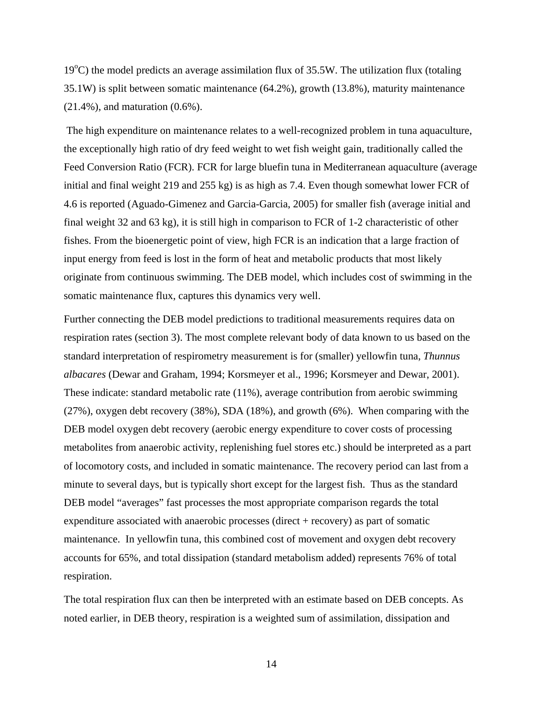19°C) the model predicts an average assimilation flux of 35.5W. The utilization flux (totaling 35.1W) is split between somatic maintenance (64.2%), growth (13.8%), maturity maintenance (21.4%), and maturation (0.6%).

 The high expenditure on maintenance relates to a well-recognized problem in tuna aquaculture, the exceptionally high ratio of dry feed weight to wet fish weight gain, traditionally called the Feed Conversion Ratio (FCR). FCR for large bluefin tuna in Mediterranean aquaculture (average initial and final weight 219 and 255 kg) is as high as 7.4. Even though somewhat lower FCR of 4.6 is reported (Aguado-Gimenez and Garcia-Garcia, 2005) for smaller fish (average initial and final weight 32 and 63 kg), it is still high in comparison to FCR of 1-2 characteristic of other fishes. From the bioenergetic point of view, high FCR is an indication that a large fraction of input energy from feed is lost in the form of heat and metabolic products that most likely originate from continuous swimming. The DEB model, which includes cost of swimming in the somatic maintenance flux, captures this dynamics very well.

Further connecting the DEB model predictions to traditional measurements requires data on respiration rates (section 3). The most complete relevant body of data known to us based on the standard interpretation of respirometry measurement is for (smaller) yellowfin tuna, *Thunnus albacares* (Dewar and Graham, 1994; Korsmeyer et al., 1996; Korsmeyer and Dewar, 2001). These indicate: standard metabolic rate (11%), average contribution from aerobic swimming (27%), oxygen debt recovery (38%), SDA (18%), and growth (6%). When comparing with the DEB model oxygen debt recovery (aerobic energy expenditure to cover costs of processing metabolites from anaerobic activity, replenishing fuel stores etc.) should be interpreted as a part of locomotory costs, and included in somatic maintenance. The recovery period can last from a minute to several days, but is typically short except for the largest fish. Thus as the standard DEB model "averages" fast processes the most appropriate comparison regards the total expenditure associated with anaerobic processes (direct + recovery) as part of somatic maintenance. In yellowfin tuna, this combined cost of movement and oxygen debt recovery accounts for 65%, and total dissipation (standard metabolism added) represents 76% of total respiration.

The total respiration flux can then be interpreted with an estimate based on DEB concepts. As noted earlier, in DEB theory, respiration is a weighted sum of assimilation, dissipation and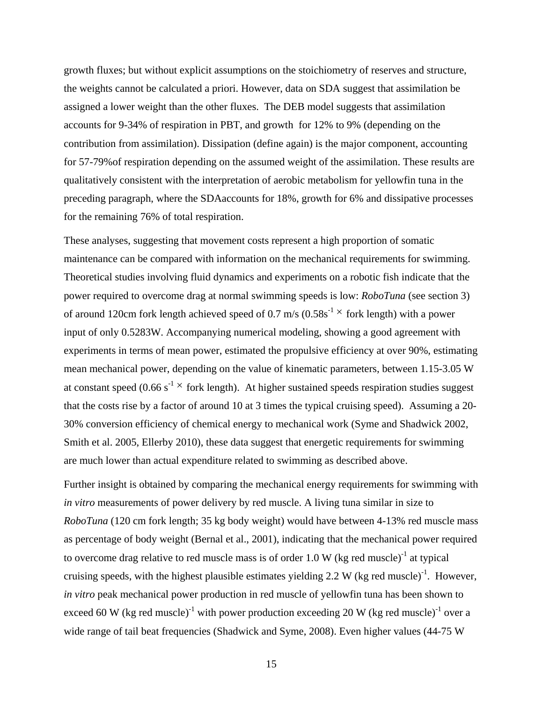growth fluxes; but without explicit assumptions on the stoichiometry of reserves and structure, the weights cannot be calculated a priori. However, data on SDA suggest that assimilation be assigned a lower weight than the other fluxes. The DEB model suggests that assimilation accounts for 9-34% of respiration in PBT, and growth for 12% to 9% (depending on the contribution from assimilation). Dissipation (define again) is the major component, accounting for 57-79%of respiration depending on the assumed weight of the assimilation. These results are qualitatively consistent with the interpretation of aerobic metabolism for yellowfin tuna in the preceding paragraph, where the SDAaccounts for 18%, growth for 6% and dissipative processes for the remaining 76% of total respiration.

These analyses, suggesting that movement costs represent a high proportion of somatic maintenance can be compared with information on the mechanical requirements for swimming. Theoretical studies involving fluid dynamics and experiments on a robotic fish indicate that the power required to overcome drag at normal swimming speeds is low: *RoboTuna* (see section 3) of around 120cm fork length achieved speed of 0.7 m/s  $(0.58s<sup>-1</sup> \times$  fork length) with a power input of only 0.5283W. Accompanying numerical modeling, showing a good agreement with experiments in terms of mean power, estimated the propulsive efficiency at over 90%, estimating mean mechanical power, depending on the value of kinematic parameters, between 1.15-3.05 W at constant speed (0.66 s<sup>-1</sup>  $\times$  fork length). At higher sustained speeds respiration studies suggest that the costs rise by a factor of around 10 at 3 times the typical cruising speed). Assuming a 20- 30% conversion efficiency of chemical energy to mechanical work (Syme and Shadwick 2002, Smith et al. 2005, Ellerby 2010), these data suggest that energetic requirements for swimming are much lower than actual expenditure related to swimming as described above.

Further insight is obtained by comparing the mechanical energy requirements for swimming with *in vitro* measurements of power delivery by red muscle. A living tuna similar in size to *RoboTuna* (120 cm fork length; 35 kg body weight) would have between 4-13% red muscle mass as percentage of body weight (Bernal et al., 2001), indicating that the mechanical power required to overcome drag relative to red muscle mass is of order 1.0 W (kg red muscle)<sup>-1</sup> at typical cruising speeds, with the highest plausible estimates yielding 2.2 W (kg red muscle)<sup>-1</sup>. However, *in vitro* peak mechanical power production in red muscle of yellowfin tuna has been shown to exceed 60 W (kg red muscle)<sup>-1</sup> with power production exceeding 20 W (kg red muscle)<sup>-1</sup> over a wide range of tail beat frequencies (Shadwick and Syme, 2008). Even higher values (44-75 W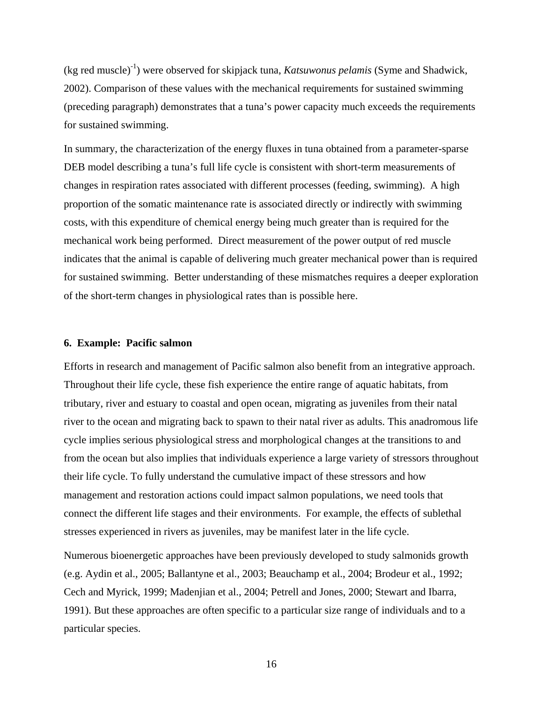(kg red muscle)-1) were observed for skipjack tuna, *Katsuwonus pelamis* (Syme and Shadwick, 2002). Comparison of these values with the mechanical requirements for sustained swimming (preceding paragraph) demonstrates that a tuna's power capacity much exceeds the requirements for sustained swimming.

In summary, the characterization of the energy fluxes in tuna obtained from a parameter-sparse DEB model describing a tuna's full life cycle is consistent with short-term measurements of changes in respiration rates associated with different processes (feeding, swimming). A high proportion of the somatic maintenance rate is associated directly or indirectly with swimming costs, with this expenditure of chemical energy being much greater than is required for the mechanical work being performed. Direct measurement of the power output of red muscle indicates that the animal is capable of delivering much greater mechanical power than is required for sustained swimming. Better understanding of these mismatches requires a deeper exploration of the short-term changes in physiological rates than is possible here.

## **6. Example: Pacific salmon**

Efforts in research and management of Pacific salmon also benefit from an integrative approach. Throughout their life cycle, these fish experience the entire range of aquatic habitats, from tributary, river and estuary to coastal and open ocean, migrating as juveniles from their natal river to the ocean and migrating back to spawn to their natal river as adults. This anadromous life cycle implies serious physiological stress and morphological changes at the transitions to and from the ocean but also implies that individuals experience a large variety of stressors throughout their life cycle. To fully understand the cumulative impact of these stressors and how management and restoration actions could impact salmon populations, we need tools that connect the different life stages and their environments. For example, the effects of sublethal stresses experienced in rivers as juveniles, may be manifest later in the life cycle.

Numerous bioenergetic approaches have been previously developed to study salmonids growth (e.g. Aydin et al., 2005; Ballantyne et al., 2003; Beauchamp et al., 2004; Brodeur et al., 1992; Cech and Myrick, 1999; Madenjian et al., 2004; Petrell and Jones, 2000; Stewart and Ibarra, 1991). But these approaches are often specific to a particular size range of individuals and to a particular species.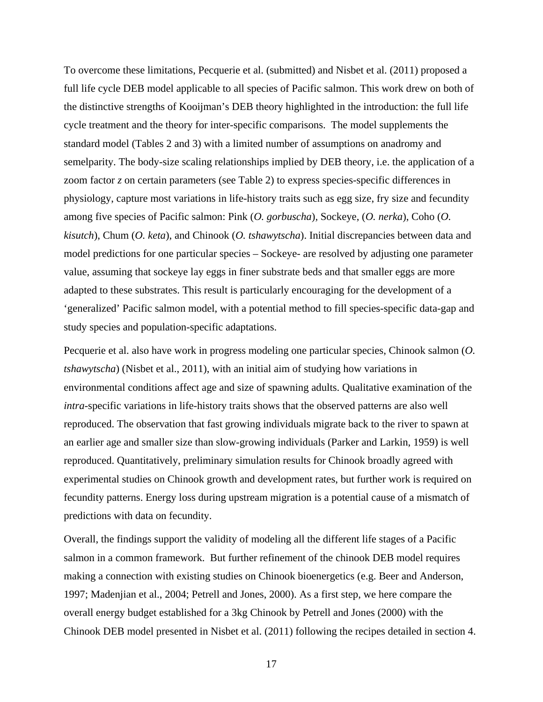To overcome these limitations, Pecquerie et al. (submitted) and Nisbet et al. (2011) proposed a full life cycle DEB model applicable to all species of Pacific salmon. This work drew on both of the distinctive strengths of Kooijman's DEB theory highlighted in the introduction: the full life cycle treatment and the theory for inter-specific comparisons. The model supplements the standard model (Tables 2 and 3) with a limited number of assumptions on anadromy and semelparity. The body-size scaling relationships implied by DEB theory, i.e. the application of a zoom factor *z* on certain parameters (see Table 2) to express species-specific differences in physiology, capture most variations in life-history traits such as egg size, fry size and fecundity among five species of Pacific salmon: Pink (*O. gorbuscha*)*,* Sockeye, (*O. nerka*), Coho (*O. kisutch*), Chum (*O. keta*), and Chinook (*O. tshawytscha*). Initial discrepancies between data and model predictions for one particular species – Sockeye- are resolved by adjusting one parameter value, assuming that sockeye lay eggs in finer substrate beds and that smaller eggs are more adapted to these substrates. This result is particularly encouraging for the development of a 'generalized' Pacific salmon model, with a potential method to fill species-specific data-gap and study species and population-specific adaptations.

Pecquerie et al. also have work in progress modeling one particular species, Chinook salmon (*O. tshawytscha*) (Nisbet et al., 2011), with an initial aim of studying how variations in environmental conditions affect age and size of spawning adults. Qualitative examination of the *intra*-specific variations in life-history traits shows that the observed patterns are also well reproduced. The observation that fast growing individuals migrate back to the river to spawn at an earlier age and smaller size than slow-growing individuals (Parker and Larkin, 1959) is well reproduced. Quantitatively, preliminary simulation results for Chinook broadly agreed with experimental studies on Chinook growth and development rates, but further work is required on fecundity patterns. Energy loss during upstream migration is a potential cause of a mismatch of predictions with data on fecundity.

Overall, the findings support the validity of modeling all the different life stages of a Pacific salmon in a common framework. But further refinement of the chinook DEB model requires making a connection with existing studies on Chinook bioenergetics (e.g. Beer and Anderson, 1997; Madenjian et al., 2004; Petrell and Jones, 2000). As a first step, we here compare the overall energy budget established for a 3kg Chinook by Petrell and Jones (2000) with the Chinook DEB model presented in Nisbet et al. (2011) following the recipes detailed in section 4.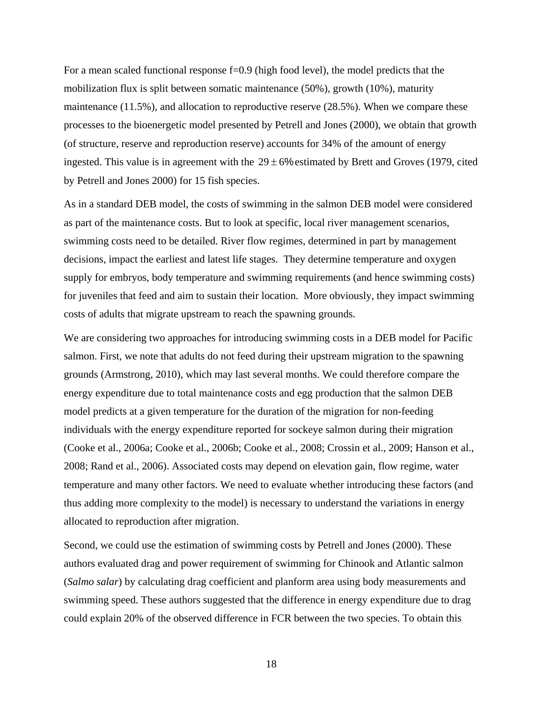For a mean scaled functional response f=0.9 (high food level), the model predicts that the mobilization flux is split between somatic maintenance (50%), growth (10%), maturity maintenance (11.5%), and allocation to reproductive reserve (28.5%). When we compare these processes to the bioenergetic model presented by Petrell and Jones (2000), we obtain that growth (of structure, reserve and reproduction reserve) accounts for 34% of the amount of energy ingested. This value is in agreement with the  $29 \pm 6\%$  estimated by Brett and Groves (1979, cited by Petrell and Jones 2000) for 15 fish species.

As in a standard DEB model, the costs of swimming in the salmon DEB model were considered as part of the maintenance costs. But to look at specific, local river management scenarios, swimming costs need to be detailed. River flow regimes, determined in part by management decisions, impact the earliest and latest life stages. They determine temperature and oxygen supply for embryos, body temperature and swimming requirements (and hence swimming costs) for juveniles that feed and aim to sustain their location. More obviously, they impact swimming costs of adults that migrate upstream to reach the spawning grounds.

We are considering two approaches for introducing swimming costs in a DEB model for Pacific salmon. First, we note that adults do not feed during their upstream migration to the spawning grounds (Armstrong, 2010), which may last several months. We could therefore compare the energy expenditure due to total maintenance costs and egg production that the salmon DEB model predicts at a given temperature for the duration of the migration for non-feeding individuals with the energy expenditure reported for sockeye salmon during their migration (Cooke et al., 2006a; Cooke et al., 2006b; Cooke et al., 2008; Crossin et al., 2009; Hanson et al., 2008; Rand et al., 2006). Associated costs may depend on elevation gain, flow regime, water temperature and many other factors. We need to evaluate whether introducing these factors (and thus adding more complexity to the model) is necessary to understand the variations in energy allocated to reproduction after migration.

Second, we could use the estimation of swimming costs by Petrell and Jones (2000). These authors evaluated drag and power requirement of swimming for Chinook and Atlantic salmon (*Salmo salar*) by calculating drag coefficient and planform area using body measurements and swimming speed. These authors suggested that the difference in energy expenditure due to drag could explain 20% of the observed difference in FCR between the two species. To obtain this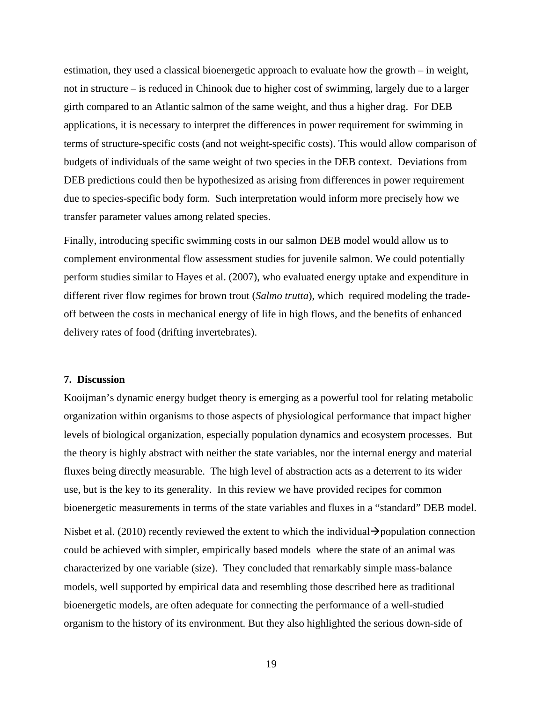estimation, they used a classical bioenergetic approach to evaluate how the growth – in weight, not in structure – is reduced in Chinook due to higher cost of swimming, largely due to a larger girth compared to an Atlantic salmon of the same weight, and thus a higher drag. For DEB applications, it is necessary to interpret the differences in power requirement for swimming in terms of structure-specific costs (and not weight-specific costs). This would allow comparison of budgets of individuals of the same weight of two species in the DEB context. Deviations from DEB predictions could then be hypothesized as arising from differences in power requirement due to species-specific body form. Such interpretation would inform more precisely how we transfer parameter values among related species.

Finally, introducing specific swimming costs in our salmon DEB model would allow us to complement environmental flow assessment studies for juvenile salmon. We could potentially perform studies similar to Hayes et al. (2007), who evaluated energy uptake and expenditure in different river flow regimes for brown trout (*Salmo trutta*), which required modeling the tradeoff between the costs in mechanical energy of life in high flows, and the benefits of enhanced delivery rates of food (drifting invertebrates).

## **7. Discussion**

Kooijman's dynamic energy budget theory is emerging as a powerful tool for relating metabolic organization within organisms to those aspects of physiological performance that impact higher levels of biological organization, especially population dynamics and ecosystem processes. But the theory is highly abstract with neither the state variables, nor the internal energy and material fluxes being directly measurable. The high level of abstraction acts as a deterrent to its wider use, but is the key to its generality. In this review we have provided recipes for common bioenergetic measurements in terms of the state variables and fluxes in a "standard" DEB model.

Nisbet et al. (2010) recently reviewed the extent to which the individual  $\rightarrow$  population connection could be achieved with simpler, empirically based models where the state of an animal was characterized by one variable (size). They concluded that remarkably simple mass-balance models, well supported by empirical data and resembling those described here as traditional bioenergetic models, are often adequate for connecting the performance of a well-studied organism to the history of its environment. But they also highlighted the serious down-side of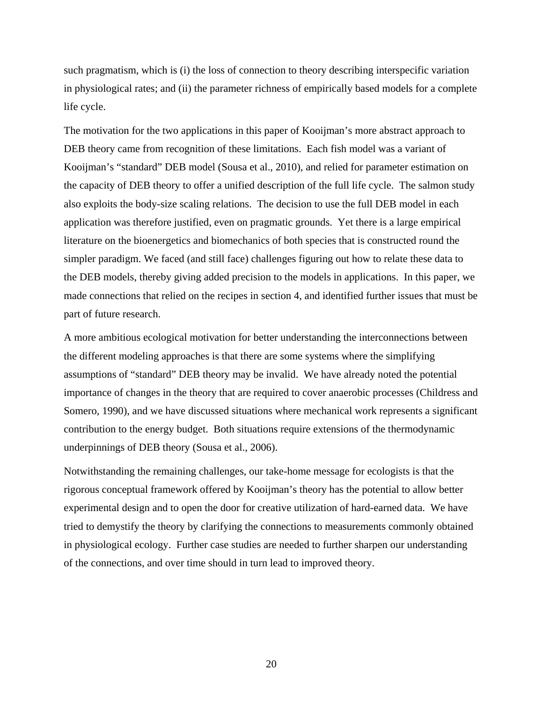such pragmatism, which is (i) the loss of connection to theory describing interspecific variation in physiological rates; and (ii) the parameter richness of empirically based models for a complete life cycle.

The motivation for the two applications in this paper of Kooijman's more abstract approach to DEB theory came from recognition of these limitations. Each fish model was a variant of Kooijman's "standard" DEB model (Sousa et al., 2010), and relied for parameter estimation on the capacity of DEB theory to offer a unified description of the full life cycle. The salmon study also exploits the body-size scaling relations. The decision to use the full DEB model in each application was therefore justified, even on pragmatic grounds. Yet there is a large empirical literature on the bioenergetics and biomechanics of both species that is constructed round the simpler paradigm. We faced (and still face) challenges figuring out how to relate these data to the DEB models, thereby giving added precision to the models in applications. In this paper, we made connections that relied on the recipes in section 4, and identified further issues that must be part of future research.

A more ambitious ecological motivation for better understanding the interconnections between the different modeling approaches is that there are some systems where the simplifying assumptions of "standard" DEB theory may be invalid. We have already noted the potential importance of changes in the theory that are required to cover anaerobic processes (Childress and Somero, 1990), and we have discussed situations where mechanical work represents a significant contribution to the energy budget. Both situations require extensions of the thermodynamic underpinnings of DEB theory (Sousa et al., 2006).

Notwithstanding the remaining challenges, our take-home message for ecologists is that the rigorous conceptual framework offered by Kooijman's theory has the potential to allow better experimental design and to open the door for creative utilization of hard-earned data. We have tried to demystify the theory by clarifying the connections to measurements commonly obtained in physiological ecology. Further case studies are needed to further sharpen our understanding of the connections, and over time should in turn lead to improved theory.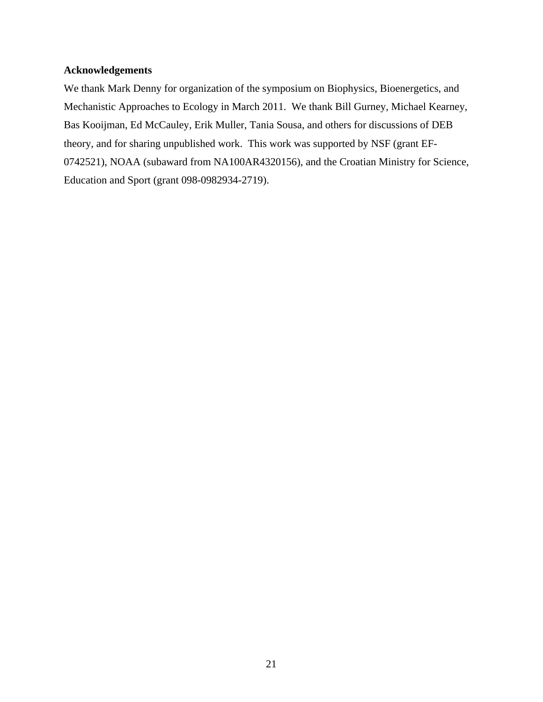## **Acknowledgements**

We thank Mark Denny for organization of the symposium on Biophysics, Bioenergetics, and Mechanistic Approaches to Ecology in March 2011. We thank Bill Gurney, Michael Kearney, Bas Kooijman, Ed McCauley, Erik Muller, Tania Sousa, and others for discussions of DEB theory, and for sharing unpublished work. This work was supported by NSF (grant EF-0742521), NOAA (subaward from NA100AR4320156), and the Croatian Ministry for Science, Education and Sport (grant 098-0982934-2719).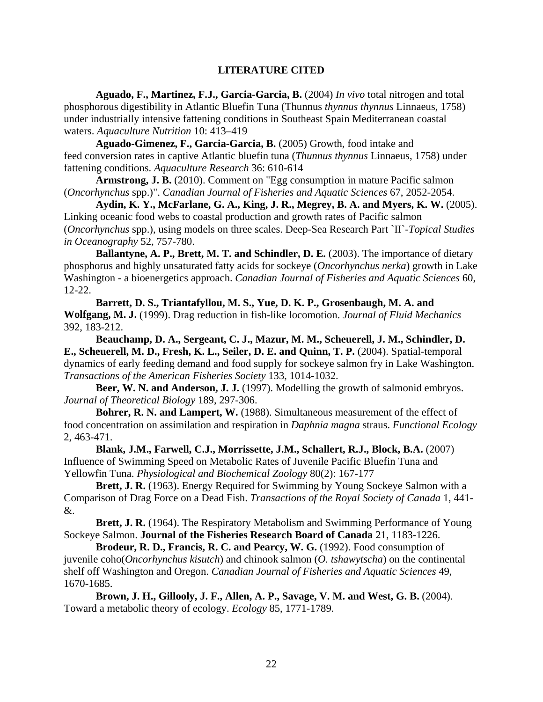## **LITERATURE CITED**

**Aguado, F., Martinez, F.J., Garcia-Garcia, B.** (2004) *In vivo* total nitrogen and total phosphorous digestibility in Atlantic Bluefin Tuna (Thunnus *thynnus thynnus* Linnaeus, 1758) under industrially intensive fattening conditions in Southeast Spain Mediterranean coastal waters. *Aquaculture Nutrition* 10: 413–419

**Aguado-Gimenez, F., Garcia-Garcia, B.** (2005) Growth, food intake and feed conversion rates in captive Atlantic bluefin tuna (*Thunnus thynnus* Linnaeus, 1758) under fattening conditions. *Aquaculture Research* 36: 610-614

**Armstrong, J. B.** (2010). Comment on "Egg consumption in mature Pacific salmon (*Oncorhynchus* spp.)". *Canadian Journal of Fisheries and Aquatic Sciences* 67, 2052-2054.

**Aydin, K. Y., McFarlane, G. A., King, J. R., Megrey, B. A. and Myers, K. W.** (2005). Linking oceanic food webs to coastal production and growth rates of Pacific salmon (*Oncorhynchus* spp.), using models on three scales. Deep-Sea Research Part `II`-*Topical Studies in Oceanography* 52, 757-780.

**Ballantyne, A. P., Brett, M. T. and Schindler, D. E.** (2003). The importance of dietary phosphorus and highly unsaturated fatty acids for sockeye (*Oncorhynchus nerka*) growth in Lake Washington - a bioenergetics approach. *Canadian Journal of Fisheries and Aquatic Sciences* 60, 12-22.

**Barrett, D. S., Triantafyllou, M. S., Yue, D. K. P., Grosenbaugh, M. A. and Wolfgang, M. J.** (1999). Drag reduction in fish-like locomotion. *Journal of Fluid Mechanics* 392, 183-212.

**Beauchamp, D. A., Sergeant, C. J., Mazur, M. M., Scheuerell, J. M., Schindler, D. E., Scheuerell, M. D., Fresh, K. L., Seiler, D. E. and Quinn, T. P.** (2004). Spatial-temporal dynamics of early feeding demand and food supply for sockeye salmon fry in Lake Washington. *Transactions of the American Fisheries Society* 133, 1014-1032.

**Beer, W. N. and Anderson, J. J.** (1997). Modelling the growth of salmonid embryos. *Journal of Theoretical Biology* 189, 297-306.

**Bohrer, R. N. and Lampert, W.** (1988). Simultaneous measurement of the effect of food concentration on assimilation and respiration in *Daphnia magna* straus. *Functional Ecology* 2, 463-471.

**Blank, J.M., Farwell, C.J., Morrissette, J.M., Schallert, R.J., Block, B.A.** (2007) Influence of Swimming Speed on Metabolic Rates of Juvenile Pacific Bluefin Tuna and Yellowfin Tuna. *Physiological and Biochemical Zoology* 80(2): 167-177

**Brett, J. R.** (1963). Energy Required for Swimming by Young Sockeye Salmon with a Comparison of Drag Force on a Dead Fish. *Transactions of the Royal Society of Canada* 1, 441- &.

**Brett, J. R.** (1964). The Respiratory Metabolism and Swimming Performance of Young Sockeye Salmon. **Journal of the Fisheries Research Board of Canada** 21, 1183-1226.

Brodeur, R. D., Francis, R. C. and Pearcy, W. G. (1992). Food consumption of juvenile coho(*Oncorhynchus kisutch*) and chinook salmon (*O. tshawytscha*) on the continental shelf off Washington and Oregon. *Canadian Journal of Fisheries and Aquatic Sciences* 49, 1670-1685.

**Brown, J. H., Gillooly, J. F., Allen, A. P., Savage, V. M. and West, G. B.** (2004). Toward a metabolic theory of ecology. *Ecology* 85, 1771-1789.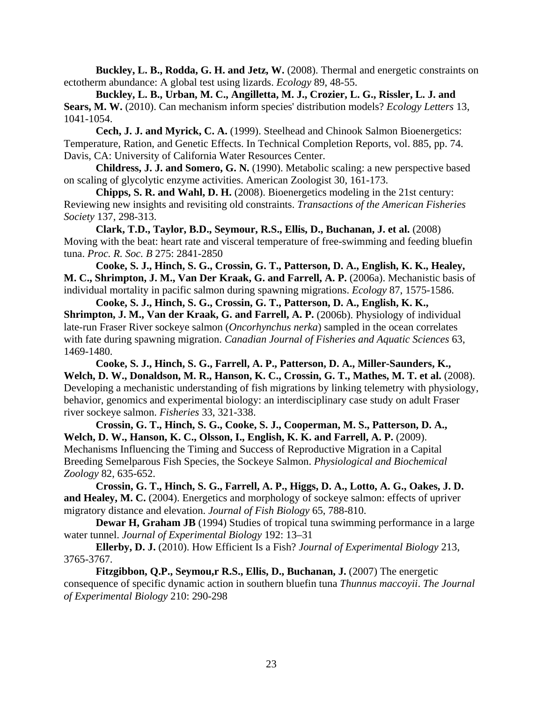**Buckley, L. B., Rodda, G. H. and Jetz, W.** (2008). Thermal and energetic constraints on ectotherm abundance: A global test using lizards. *Ecology* 89, 48-55.

**Buckley, L. B., Urban, M. C., Angilletta, M. J., Crozier, L. G., Rissler, L. J. and Sears, M. W.** (2010). Can mechanism inform species' distribution models? *Ecology Letters* 13, 1041-1054.

**Cech, J. J. and Myrick, C. A.** (1999). Steelhead and Chinook Salmon Bioenergetics: Temperature, Ration, and Genetic Effects. In Technical Completion Reports, vol. 885, pp. 74. Davis, CA: University of California Water Resources Center.

**Childress, J. J. and Somero, G. N.** (1990). Metabolic scaling: a new perspective based on scaling of glycolytic enzyme activities. American Zoologist 30, 161-173.

**Chipps, S. R. and Wahl, D. H.** (2008). Bioenergetics modeling in the 21st century: Reviewing new insights and revisiting old constraints. *Transactions of the American Fisheries Society* 137, 298-313.

**Clark, T.D., Taylor, B.D., Seymour, R.S., Ellis, D., Buchanan, J. et al.** (2008) Moving with the beat: heart rate and visceral temperature of free-swimming and feeding bluefin tuna. *Proc. R. Soc. B* 275: 2841-2850

**Cooke, S. J., Hinch, S. G., Crossin, G. T., Patterson, D. A., English, K. K., Healey, M. C., Shrimpton, J. M., Van Der Kraak, G. and Farrell, A. P.** (2006a). Mechanistic basis of individual mortality in pacific salmon during spawning migrations. *Ecology* 87, 1575-1586.

**Cooke, S. J., Hinch, S. G., Crossin, G. T., Patterson, D. A., English, K. K., Shrimpton, J. M., Van der Kraak, G. and Farrell, A. P.** (2006b). Physiology of individual late-run Fraser River sockeye salmon (*Oncorhynchus nerka*) sampled in the ocean correlates with fate during spawning migration. *Canadian Journal of Fisheries and Aquatic Sciences* 63, 1469-1480.

**Cooke, S. J., Hinch, S. G., Farrell, A. P., Patterson, D. A., Miller-Saunders, K., Welch, D. W., Donaldson, M. R., Hanson, K. C., Crossin, G. T., Mathes, M. T. et al.** (2008). Developing a mechanistic understanding of fish migrations by linking telemetry with physiology, behavior, genomics and experimental biology: an interdisciplinary case study on adult Fraser river sockeye salmon. *Fisheries* 33, 321-338.

**Crossin, G. T., Hinch, S. G., Cooke, S. J., Cooperman, M. S., Patterson, D. A., Welch, D. W., Hanson, K. C., Olsson, I., English, K. K. and Farrell, A. P.** (2009). Mechanisms Influencing the Timing and Success of Reproductive Migration in a Capital Breeding Semelparous Fish Species, the Sockeye Salmon. *Physiological and Biochemical Zoology* 82, 635-652.

**Crossin, G. T., Hinch, S. G., Farrell, A. P., Higgs, D. A., Lotto, A. G., Oakes, J. D.**  and Healey, M. C. (2004). Energetics and morphology of sockeye salmon: effects of upriver migratory distance and elevation. *Journal of Fish Biology* 65, 788-810.

**Dewar H, Graham JB** (1994) Studies of tropical tuna swimming performance in a large water tunnel. *Journal of Experimental Biology* 192: 13–31

**Ellerby, D. J.** (2010). How Efficient Is a Fish? *Journal of Experimental Biology* 213, 3765-3767.

**Fitzgibbon, Q.P., Seymou,r R.S., Ellis, D., Buchanan, J.** (2007) The energetic consequence of specific dynamic action in southern bluefin tuna *Thunnus maccoyii*. *The Journal of Experimental Biology* 210: 290-298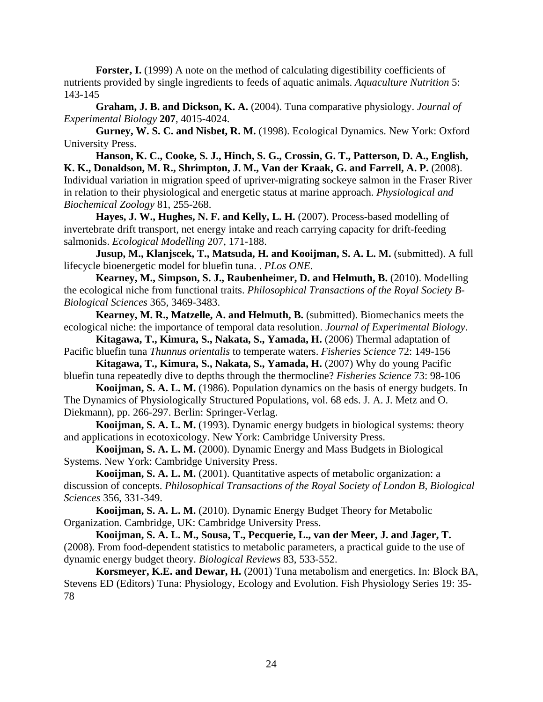**Forster, I.** (1999) A note on the method of calculating digestibility coefficients of nutrients provided by single ingredients to feeds of aquatic animals. *Aquaculture Nutrition* 5: 143-145

**Graham, J. B. and Dickson, K. A.** (2004). Tuna comparative physiology. *Journal of Experimental Biology* **207**, 4015-4024.

**Gurney, W. S. C. and Nisbet, R. M.** (1998). Ecological Dynamics. New York: Oxford University Press.

**Hanson, K. C., Cooke, S. J., Hinch, S. G., Crossin, G. T., Patterson, D. A., English,**  K. K., Donaldson, M. R., Shrimpton, J. M., Van der Kraak, G. and Farrell, A. P. (2008). Individual variation in migration speed of upriver-migrating sockeye salmon in the Fraser River in relation to their physiological and energetic status at marine approach. *Physiological and Biochemical Zoology* 81, 255-268.

**Hayes, J. W., Hughes, N. F. and Kelly, L. H.** (2007). Process-based modelling of invertebrate drift transport, net energy intake and reach carrying capacity for drift-feeding salmonids. *Ecological Modelling* 207, 171-188.

**Jusup, M., Klanjscek, T., Matsuda, H. and Kooijman, S. A. L. M.** (submitted). A full lifecycle bioenergetic model for bluefin tuna. . *PLos ONE*.

Kearney, M., Simpson, S. J., Raubenheimer, D. and Helmuth, B. (2010). Modelling the ecological niche from functional traits. *Philosophical Transactions of the Royal Society B-Biological Sciences* 365, 3469-3483.

**Kearney, M. R., Matzelle, A. and Helmuth, B.** (submitted). Biomechanics meets the ecological niche: the importance of temporal data resolution. *Journal of Experimental Biology*.

**Kitagawa, T., Kimura, S., Nakata, S., Yamada, H.** (2006) Thermal adaptation of Pacific bluefin tuna *Thunnus orientalis* to temperate waters. *Fisheries Science* 72: 149-156

**Kitagawa, T., Kimura, S., Nakata, S., Yamada, H.** (2007) Why do young Pacific bluefin tuna repeatedly dive to depths through the thermocline? *Fisheries Science* 73: 98-106

**Kooijman, S. A. L. M.** (1986). Population dynamics on the basis of energy budgets. In The Dynamics of Physiologically Structured Populations, vol. 68 eds. J. A. J. Metz and O. Diekmann), pp. 266-297. Berlin: Springer-Verlag.

**Kooijman, S. A. L. M.** (1993). Dynamic energy budgets in biological systems: theory and applications in ecotoxicology. New York: Cambridge University Press.

**Kooijman, S. A. L. M.** (2000). Dynamic Energy and Mass Budgets in Biological Systems. New York: Cambridge University Press.

**Kooijman, S. A. L. M.** (2001). Quantitative aspects of metabolic organization: a discussion of concepts. *Philosophical Transactions of the Royal Society of London B, Biological Sciences* 356, 331-349.

**Kooijman, S. A. L. M.** (2010). Dynamic Energy Budget Theory for Metabolic Organization. Cambridge, UK: Cambridge University Press.

**Kooijman, S. A. L. M., Sousa, T., Pecquerie, L., van der Meer, J. and Jager, T.**  (2008). From food-dependent statistics to metabolic parameters, a practical guide to the use of dynamic energy budget theory. *Biological Reviews* 83, 533-552.

**Korsmeyer, K.E. and Dewar, H.** (2001) Tuna metabolism and energetics. In: Block BA, Stevens ED (Editors) Tuna: Physiology, Ecology and Evolution. Fish Physiology Series 19: 35- 78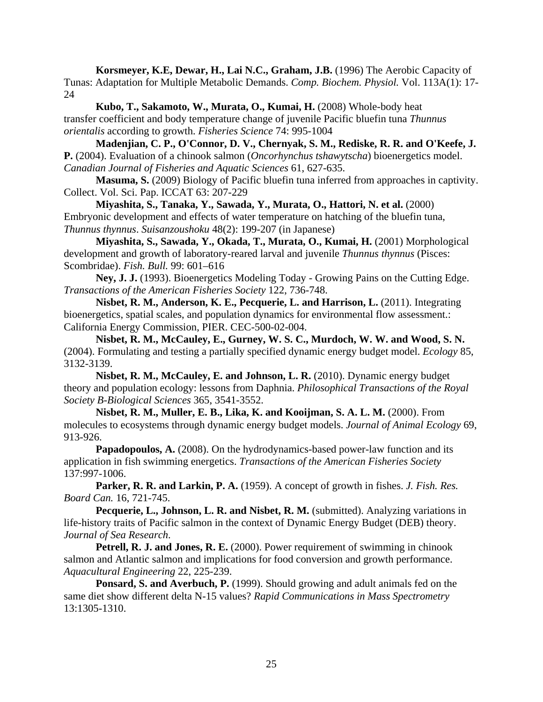**Korsmeyer, K.E, Dewar, H., Lai N.C., Graham, J.B.** (1996) The Aerobic Capacity of Tunas: Adaptation for Multiple Metabolic Demands. *Comp. Biochem. Physiol.* Vol. 113A(1): 17- 24

Kubo, T., Sakamoto, W., Murata, O., Kumai, H. (2008) Whole-body heat transfer coefficient and body temperature change of juvenile Pacific bluefin tuna *Thunnus orientalis* according to growth. *Fisheries Science* 74: 995-1004

**Madenjian, C. P., O'Connor, D. V., Chernyak, S. M., Rediske, R. R. and O'Keefe, J. P.** (2004). Evaluation of a chinook salmon (*Oncorhynchus tshawytscha*) bioenergetics model. *Canadian Journal of Fisheries and Aquatic Sciences* 61, 627-635.

**Masuma, S.** (2009) Biology of Pacific bluefin tuna inferred from approaches in captivity. Collect. Vol. Sci. Pap. ICCAT 63: 207-229

 **Miyashita, S., Tanaka, Y., Sawada, Y., Murata, O., Hattori, N. et al.** (2000) Embryonic development and effects of water temperature on hatching of the bluefin tuna, *Thunnus thynnus*. *Suisanzoushoku* 48(2): 199-207 (in Japanese)

**Miyashita, S., Sawada, Y., Okada, T., Murata, O., Kumai, H.** (2001) Morphological development and growth of laboratory-reared larval and juvenile *Thunnus thynnus* (Pisces: Scombridae). *Fish. Bull.* 99: 601–616

**Ney, J. J.** (1993). Bioenergetics Modeling Today - Growing Pains on the Cutting Edge. *Transactions of the American Fisheries Society* 122, 736-748.

**Nisbet, R. M., Anderson, K. E., Pecquerie, L. and Harrison, L.** (2011). Integrating bioenergetics, spatial scales, and population dynamics for environmental flow assessment.: California Energy Commission, PIER. CEC-500-02-004.

**Nisbet, R. M., McCauley, E., Gurney, W. S. C., Murdoch, W. W. and Wood, S. N.**  (2004). Formulating and testing a partially specified dynamic energy budget model. *Ecology* 85, 3132-3139.

**Nisbet, R. M., McCauley, E. and Johnson, L. R.** (2010). Dynamic energy budget theory and population ecology: lessons from Daphnia. *Philosophical Transactions of the Royal Society B-Biological Sciences* 365, 3541-3552.

**Nisbet, R. M., Muller, E. B., Lika, K. and Kooijman, S. A. L. M.** (2000). From molecules to ecosystems through dynamic energy budget models. *Journal of Animal Ecology* 69, 913-926.

Papadopoulos, A. (2008). On the hydrodynamics-based power-law function and its application in fish swimming energetics. *Transactions of the American Fisheries Society*  137:997-1006.

**Parker, R. R. and Larkin, P. A.** (1959). A concept of growth in fishes. *J. Fish. Res. Board Can.* 16, 721-745.

Pecquerie, L., Johnson, L. R. and Nisbet, R. M. (submitted). Analyzing variations in life-history traits of Pacific salmon in the context of Dynamic Energy Budget (DEB) theory. *Journal of Sea Research*.

**Petrell, R. J. and Jones, R. E.** (2000). Power requirement of swimming in chinook salmon and Atlantic salmon and implications for food conversion and growth performance. *Aquacultural Engineering* 22, 225-239.

**Ponsard, S. and Averbuch, P.** (1999). Should growing and adult animals fed on the same diet show different delta N-15 values? *Rapid Communications in Mass Spectrometry* 13:1305-1310.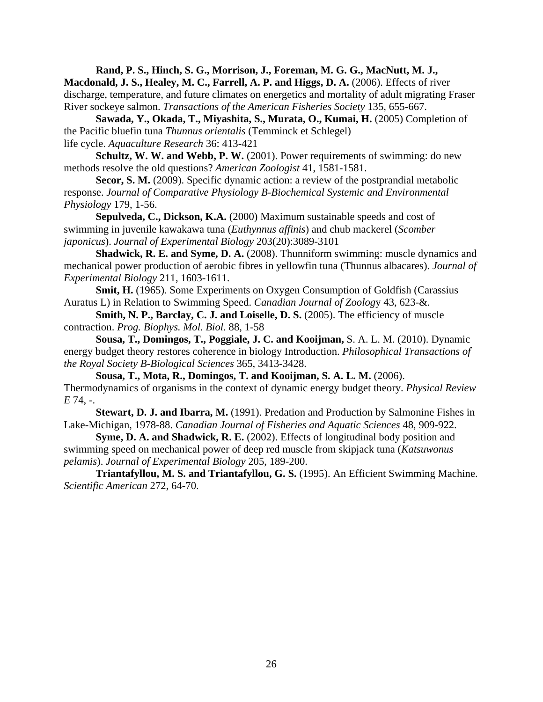**Rand, P. S., Hinch, S. G., Morrison, J., Foreman, M. G. G., MacNutt, M. J., Macdonald, J. S., Healey, M. C., Farrell, A. P. and Higgs, D. A.** (2006). Effects of river discharge, temperature, and future climates on energetics and mortality of adult migrating Fraser River sockeye salmon. *Transactions of the American Fisheries Society* 135, 655-667.

**Sawada, Y., Okada, T., Miyashita, S., Murata, O., Kumai, H.** (2005) Completion of the Pacific bluefin tuna *Thunnus orientalis* (Temminck et Schlegel) life cycle. *Aquaculture Research* 36: 413-421

**Schultz, W. W. and Webb, P. W.** (2001). Power requirements of swimming: do new methods resolve the old questions? *American Zoologist* 41, 1581-1581.

Secor, S. M. (2009). Specific dynamic action: a review of the postprandial metabolic response. *Journal of Comparative Physiology B-Biochemical Systemic and Environmental Physiology* 179, 1-56.

**Sepulveda, C., Dickson, K.A.** (2000) Maximum sustainable speeds and cost of swimming in juvenile kawakawa tuna (*Euthynnus affinis*) and chub mackerel (*Scomber japonicus*). *Journal of Experimental Biology* 203(20):3089-3101

**Shadwick, R. E. and Syme, D. A.** (2008). Thunniform swimming: muscle dynamics and mechanical power production of aerobic fibres in yellowfin tuna (Thunnus albacares). *Journal of Experimental Biology* 211, 1603-1611.

**Smit, H.** (1965). Some Experiments on Oxygen Consumption of Goldfish (Carassius) Auratus L) in Relation to Swimming Speed. *Canadian Journal of Zoolog*y 43, 623-&.

**Smith, N. P., Barclay, C. J. and Loiselle, D. S.** (2005). The efficiency of muscle contraction. *Prog. Biophys. Mol. Biol.* 88, 1-58

**Sousa, T., Domingos, T., Poggiale, J. C. and Kooijman,** S. A. L. M. (2010). Dynamic energy budget theory restores coherence in biology Introduction. *Philosophical Transactions of the Royal Society B-Biological Sciences* 365, 3413-3428.

**Sousa, T., Mota, R., Domingos, T. and Kooijman, S. A. L. M.** (2006). Thermodynamics of organisms in the context of dynamic energy budget theory. *Physical Review E* 74, -.

**Stewart, D. J. and Ibarra, M.** (1991). Predation and Production by Salmonine Fishes in Lake-Michigan, 1978-88. *Canadian Journal of Fisheries and Aquatic Sciences* 48, 909-922.

**Syme, D. A. and Shadwick, R. E.** (2002). Effects of longitudinal body position and swimming speed on mechanical power of deep red muscle from skipjack tuna (*Katsuwonus pelamis*). *Journal of Experimental Biology* 205, 189-200.

**Triantafyllou, M. S. and Triantafyllou, G. S.** (1995). An Efficient Swimming Machine. *Scientific American* 272, 64-70.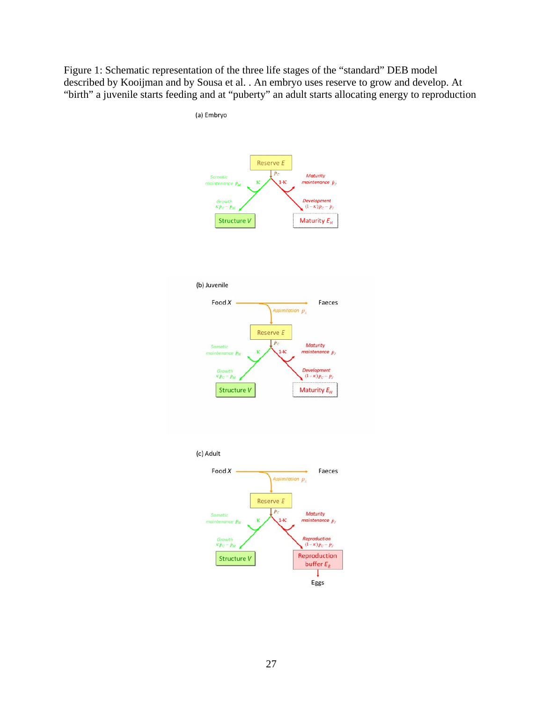Figure 1: Schematic representation of the three life stages of the "standard" DEB model described by Kooijman and by Sousa et al. . An embryo uses reserve to grow and develop. At "birth" a juvenile starts feeding and at "puberty" an adult starts allocating energy to reproduction

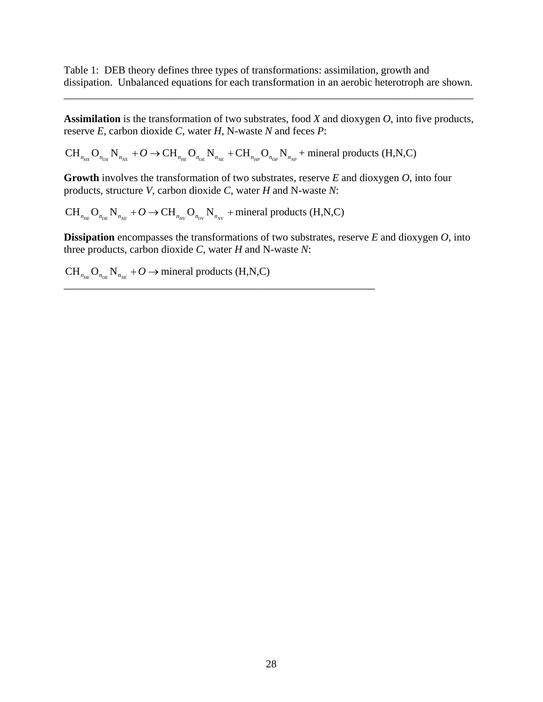Table 1: DEB theory defines three types of transformations: assimilation, growth and dissipation. Unbalanced equations for each transformation in an aerobic heterotroph are shown.

\_\_\_\_\_\_\_\_\_\_\_\_\_\_\_\_\_\_\_\_\_\_\_\_\_\_\_\_\_\_\_\_\_\_\_\_\_\_\_\_\_\_\_\_\_\_\_\_\_\_\_\_\_\_\_\_\_\_\_\_\_\_\_\_\_\_\_\_\_\_\_\_\_\_\_\_\_

**Assimilation** is the transformation of two substrates, food *X* and dioxygen *O*, into five products, reserve *E*, carbon dioxide *C*, water *H*, N-waste *N* and feces *P*:

 $CH_{n_{H X}} O_{n_{OX}} N_{n_{NX}} + O \rightarrow CH_{n_{HE}} O_{n_{OE}} N_{n_{NE}} + CH_{n_{HP}} O_{n_{OP}} N_{n_{NP}} +$  mineral products (H,N,C)

**Growth** involves the transformation of two substrates, reserve *E* and dioxygen *O*, into four products, structure *V*, carbon dioxide *C*, water *H* and N-waste *N*:

 $CH_{n_{HE}} O_{n_{OE}} N_{n_{NE}} + O \rightarrow CH_{n_{HV}} O_{n_{OV}} N_{n_{NV}} +$  mineral products (H,N,C)

**\_\_\_\_\_\_\_\_\_\_\_\_\_\_\_\_\_\_\_\_\_\_\_\_\_\_\_\_\_\_\_\_\_\_\_\_\_\_\_\_\_\_\_\_\_\_\_\_\_\_\_\_\_\_\_\_\_\_\_\_\_\_\_\_\_\_\_\_\_\_\_\_\_\_\_\_\_\_** 

**Dissipation** encompasses the transformations of two substrates, reserve *E* and dioxygen *O*, into three products, carbon dioxide *C*, water *H* and N-waste *N*:

 $CH_{n_{HE}}$   $O_{n_{OE}}$   $N_{n_{NE}}$  +  $O \rightarrow$  mineral products (H,N,C)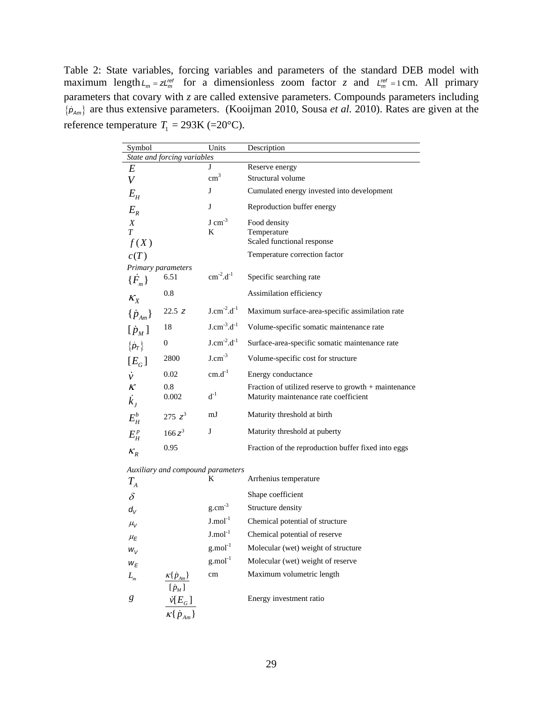Table 2: State variables, forcing variables and parameters of the standard DEB model with maximum length  $L_m = zL_m^{ref}$  for a dimensionless zoom factor *z* and  $L_m^{ref} = 1$  cm. All primary parameters that covary with *z* are called extensive parameters. Compounds parameters including {*p Am*} are thus extensive parameters. (Kooijman 2010, Sousa *et al.* 2010). Rates are given at the reference temperature  $T_1 = 293K$  (=20°C).

| Symbol                                              |              | Units                 | Description                                          |  |  |  |
|-----------------------------------------------------|--------------|-----------------------|------------------------------------------------------|--|--|--|
| State and forcing variables                         |              |                       |                                                      |  |  |  |
| E                                                   |              | J                     | Reserve energy                                       |  |  |  |
| V                                                   |              | $\text{cm}^3$         | Structural volume                                    |  |  |  |
| $E_{\scriptscriptstyle H}$                          |              | J                     | Cumulated energy invested into development           |  |  |  |
| $E_R$                                               |              | J                     | Reproduction buffer energy                           |  |  |  |
| X                                                   |              | $J \, \text{cm}^{-3}$ | Food density                                         |  |  |  |
| $\overline{T}$                                      |              | K                     | Temperature                                          |  |  |  |
| f(X)                                                |              |                       | Scaled functional response                           |  |  |  |
| c(T)                                                |              |                       | Temperature correction factor                        |  |  |  |
| Primary parameters                                  |              |                       |                                                      |  |  |  |
| $\{\dot{F}_m\}$                                     | 6.51         | $cm^{-2}.d^{-1}$      | Specific searching rate                              |  |  |  |
| $K_X$                                               | 0.8          |                       | Assimilation efficiency                              |  |  |  |
| $\{\dot{p}_{_{Am}}\}$                               | 22.5 z       | $J.cm^{-2}.d^{-1}$    | Maximum surface-area-specific assimilation rate      |  |  |  |
| $[\dot{p}_M]$                                       | 18           | $J.cm^{-3}.d^{-1}$    | Volume-specific somatic maintenance rate             |  |  |  |
| $\{\dot{\textbf{\textit{p}}}_\textbf{\textit{T}}\}$ | $\mathbf{0}$ | $J.cm^{-2}.d^{-1}$    | Surface-area-specific somatic maintenance rate       |  |  |  |
| $[E_{G}]$                                           | 2800         | $J.cm^{-3}$           | Volume-specific cost for structure                   |  |  |  |
| $\dot{v}$                                           | 0.02         | $cm.d^{-1}$           | Energy conductance                                   |  |  |  |
| $\boldsymbol{\mathcal{K}}$                          | 0.8          |                       | Fraction of utilized reserve to growth + maintenance |  |  |  |
| $\dot{k}_J$                                         | 0.002        | $d^{-1}$              | Maturity maintenance rate coefficient                |  |  |  |
| $E_H^b$                                             | 275 $z^3$    | mJ                    | Maturity threshold at birth                          |  |  |  |
| $E_H^p$                                             | $166z^3$     | J                     | Maturity threshold at puberty                        |  |  |  |
| $K_R$                                               | 0.95         |                       | Fraction of the reproduction buffer fixed into eggs  |  |  |  |
|                                                     |              |                       |                                                      |  |  |  |

*Auxiliary and compound parameters*

| $T_{\rm A}$ |                                               | K                      | Arrhenius temperature               |
|-------------|-----------------------------------------------|------------------------|-------------------------------------|
| $\delta$    |                                               |                        | Shape coefficient                   |
| $d_V$       |                                               | $g.cm^{-3}$            | Structure density                   |
| $\mu_V$     |                                               | $J$ .mol <sup>-1</sup> | Chemical potential of structure     |
| $\mu_E$     |                                               | $J$ .mol <sup>-1</sup> | Chemical potential of reserve       |
| $W_V$       |                                               | $g$ .mol <sup>-1</sup> | Molecular (wet) weight of structure |
| $W_E$       |                                               | $g$ .mol <sup>-1</sup> | Molecular (wet) weight of reserve   |
| $L_m$       | $\kappa\{\dot{p}_{Am}\}\,$                    | cm                     | Maximum volumetric length           |
|             | $[\dot{p}_M]$                                 |                        |                                     |
| g           |                                               |                        | Energy investment ratio             |
|             | $\frac{\dot{v}[E_G]}{\kappa\{\dot{p}_{Am}\}}$ |                        |                                     |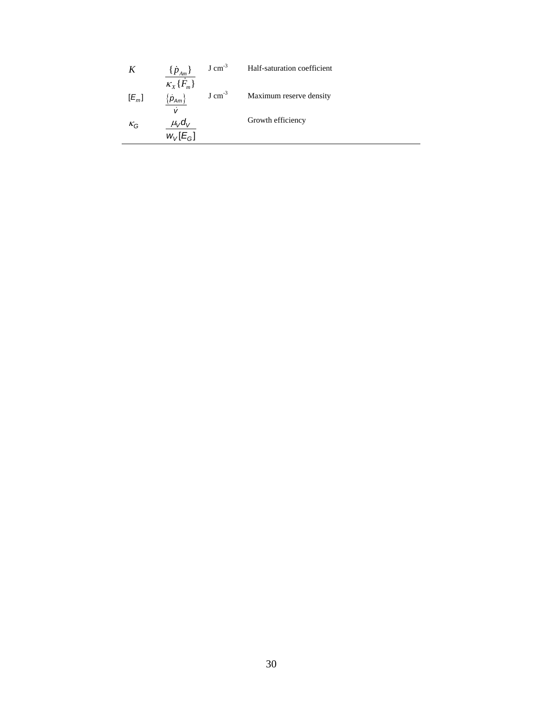|         | $\{p_{Am}\}\$                 | $J \, \text{cm}^{-3}$ | Half-saturation coefficient |
|---------|-------------------------------|-----------------------|-----------------------------|
| $[E_m]$ | $\kappa_{X} \{\dot{F}_{m}\}\$ | $J \, \text{cm}^{-3}$ | Maximum reserve density     |
|         | $\vert \rho_{Am} \rangle$     |                       |                             |
| $K_G$   | $\mu_V d_V$                   |                       | Growth efficiency           |
|         | $W_V[E_G]$                    |                       |                             |